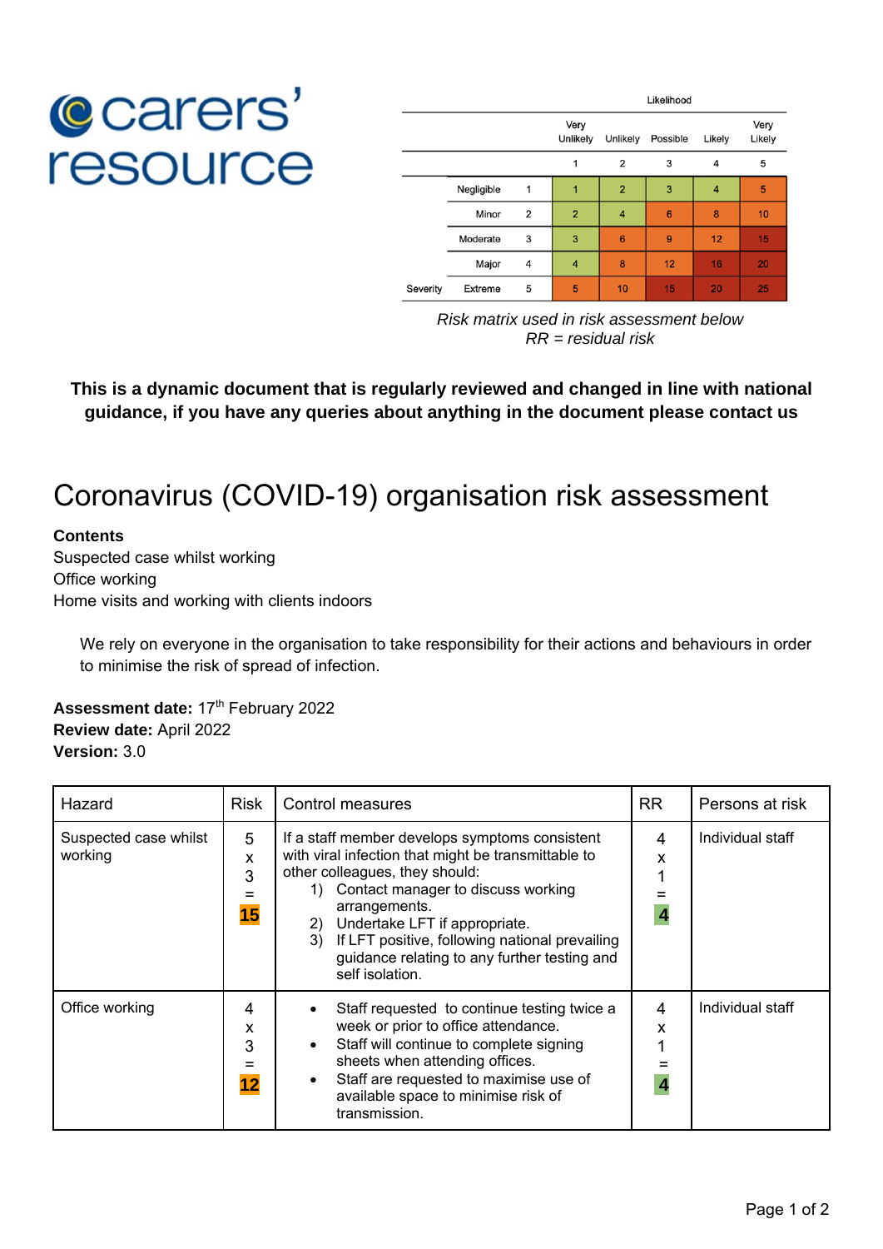## **C**carers' resource

|          |            |                | Likelihood       |                |                 |                |                |
|----------|------------|----------------|------------------|----------------|-----------------|----------------|----------------|
|          |            |                | Very<br>Unlikely | Unlikely       | Possible        | Likely         | Very<br>Likely |
|          |            |                | 1                | 2              | 3               | $\overline{4}$ | 5              |
|          | Negligible | 1              | 1                | $\overline{2}$ | 3               | $\overline{4}$ | 5              |
|          | Minor      | $\overline{2}$ | $\overline{2}$   | 4              | $6\phantom{1}6$ | 8              | 10             |
|          | Moderate   | 3              | 3                | 6              | 9               | 12             | 15             |
|          | Major      | 4              | 4                | 8              | 12              | 16             | 20             |
| Severity | Extreme    | 5              | 5                | 10             | 15              | 20             | 25             |

*Risk matrix used in risk assessment below RR = residual risk* 

**This is a dynamic document that is regularly reviewed and changed in line with national guidance, if you have any queries about anything in the document please contact us** 

## Coronavirus (COVID-19) organisation risk assessment

## **Contents**

Suspected case whilst working Office working Home visits and working with clients indoors

We rely on everyone in the organisation to take responsibility for their actions and behaviours in order to minimise the risk of spread of infection.

**Assessment date: 17th February 2022 Review date:** April 2022 **Version:** 3.0

| Hazard                           | <b>Risk</b>       | Control measures                                                                                                                                                                                                                                                                                                                                                    |             | Persons at risk  |
|----------------------------------|-------------------|---------------------------------------------------------------------------------------------------------------------------------------------------------------------------------------------------------------------------------------------------------------------------------------------------------------------------------------------------------------------|-------------|------------------|
| Suspected case whilst<br>working | 5<br>x<br>3<br>15 | If a staff member develops symptoms consistent<br>with viral infection that might be transmittable to<br>other colleagues, they should:<br>Contact manager to discuss working<br>1)<br>arrangements.<br>Undertake LFT if appropriate.<br>2)<br>3) If LFT positive, following national prevailing<br>guidance relating to any further testing and<br>self isolation. | 4<br>x<br>4 | Individual staff |
| Office working                   | 4<br>x<br>3<br>12 | Staff requested to continue testing twice a<br>week or prior to office attendance.<br>Staff will continue to complete signing<br>sheets when attending offices.<br>Staff are requested to maximise use of<br>available space to minimise risk of<br>transmission.                                                                                                   | 4<br>X<br>4 | Individual staff |